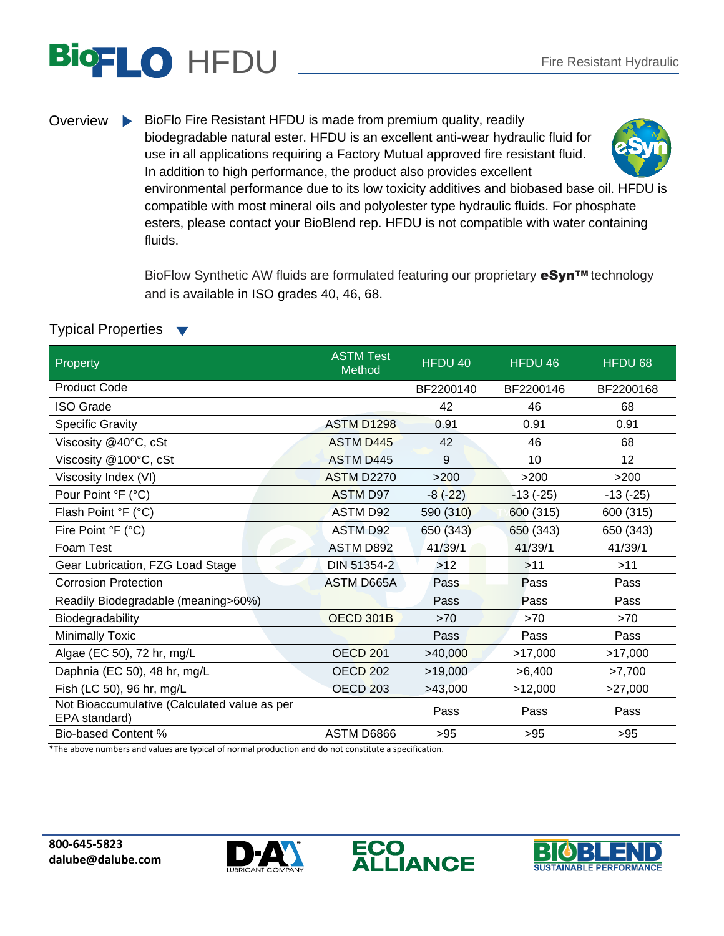## **BIOFLO HFDU** Fire Resistant Hydraulic

Overview BioFlo Fire Resistant HFDU is made from premium quality, readily biodegradable natural ester. HFDU is an excellent anti-wear hydraulic fluid for use in all applications requiring a Factory Mutual approved fire resistant fluid. In addition to high performance, the product also provides excellent environmental performance due to its low toxicity additives and biobased base oil. HFDU is compatible with most mineral oils and polyolester type hydraulic fluids. For phosphate esters, please contact your BioBlend rep. HFDU is not compatible with water containing fluids.

> BioFlow Synthetic AW fluids are formulated featuring our proprietary **eSyn<sup>TM</sup>** technology and is available in ISO grades 40, 46, 68.

## Typical Properties

| Property                                                      | <b>ASTM Test</b><br>Method | HFDU 40   | HFDU 46    | HFDU 68    |
|---------------------------------------------------------------|----------------------------|-----------|------------|------------|
| <b>Product Code</b>                                           |                            | BF2200140 | BF2200146  | BF2200168  |
| <b>ISO Grade</b>                                              |                            | 42        | 46         | 68         |
| <b>Specific Gravity</b>                                       | <b>ASTM D1298</b>          | 0.91      | 0.91       | 0.91       |
| Viscosity @40°C, cSt                                          | <b>ASTM D445</b>           | 42        | 46         | 68         |
| Viscosity @100°C, cSt                                         | <b>ASTM D445</b>           | 9         | 10         | 12         |
| Viscosity Index (VI)                                          | <b>ASTM D2270</b>          | >200      | >200       | >200       |
| Pour Point °F (°C)                                            | <b>ASTM D97</b>            | $-8(-22)$ | $-13(-25)$ | $-13(-25)$ |
| Flash Point °F (°C)                                           | <b>ASTM D92</b>            | 590 (310) | 600 (315)  | 600 (315)  |
| Fire Point °F (°C)                                            | <b>ASTM D92</b>            | 650 (343) | 650 (343)  | 650 (343)  |
| Foam Test                                                     | <b>ASTM D892</b>           | 41/39/1   | 41/39/1    | 41/39/1    |
| Gear Lubrication, FZG Load Stage                              | DIN 51354-2                | >12       | $>11$      | >11        |
| <b>Corrosion Protection</b>                                   | <b>ASTM D665A</b>          | Pass      | Pass       | Pass       |
| Readily Biodegradable (meaning>60%)                           |                            | Pass      | Pass       | Pass       |
| Biodegradability                                              | OECD 301B                  | $>70$     | >70        | >70        |
| <b>Minimally Toxic</b>                                        |                            | Pass      | Pass       | Pass       |
| Algae (EC 50), 72 hr, mg/L                                    | <b>OECD 201</b>            | >40,000   | >17,000    | >17,000    |
| Daphnia (EC 50), 48 hr, mg/L                                  | OECD <sub>202</sub>        | >19,000   | >6,400     | >7,700     |
| Fish (LC 50), 96 hr, mg/L                                     | OECD <sub>203</sub>        | >43,000   | >12,000    | >27,000    |
| Not Bioaccumulative (Calculated value as per<br>EPA standard) |                            | Pass      | Pass       | Pass       |
| <b>Bio-based Content %</b>                                    | ASTM D6866                 | >95       | >95        | $>95$      |

\*The above numbers and values are typical of normal production and do not constitute a specification.